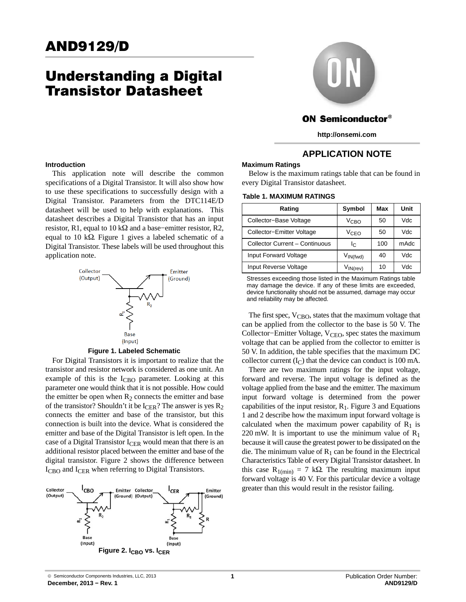# Understanding a Digital Transistor Datasheet

# **Introduction**

This application note will describe the common specifications of a Digital Transistor. It will also show how to use these specifications to successfully design with a Digital Transistor. Parameters from the DTC114E/D datasheet will be used to help with explanations. This datasheet describes a Digital Transistor that has an input resistor, R1, equal to 10 k $\Omega$  and a base–emitter resistor, R2, equal to 10 k $\Omega$ . Figure 1 gives a labeled schematic of a Digital Transistor. These labels will be used throughout this application note.



**Figure 1. Labeled Schematic**

For Digital Transistors it is important to realize that the transistor and resistor network is considered as one unit. An example of this is the  $I_{CBO}$  parameter. Looking at this parameter one would think that it is not possible. How could the emitter be open when  $R_2$  connects the emitter and base of the transistor? Shouldn't it be  $I_{CER}$ ? The answer is yes  $R_2$ connects the emitter and base of the transistor, but this connection is built into the device. What is considered the emitter and base of the Digital Transistor is left open. In the case of a Digital Transistor  $I_{CER}$  would mean that there is an additional resistor placed between the emitter and base of the digital transistor. Figure 2 shows the difference between I<sub>CBO</sub> and I<sub>CER</sub> when referring to Digital Transistors.





# **ON Semiconductor®**

**http://onsemi.com**

# **APPLICATION NOTE**

## **Maximum Ratings**

Below is the maximum ratings table that can be found in every Digital Transistor datasheet.

### **Table 1. MAXIMUM RATINGS**

| Rating                         | Symbol                          | Max | Unit |  |
|--------------------------------|---------------------------------|-----|------|--|
| Collector-Base Voltage         | V <sub>CBO</sub>                | 50  | Vdc  |  |
| Collector-Emitter Voltage      | V <sub>CEO</sub>                | 50  | Vdc  |  |
| Collector Current - Continuous | Ιc                              | 100 | mAdc |  |
| <b>Input Forward Voltage</b>   | $V_{IN(fwd)}$                   | 40  | Vdc  |  |
| Input Reverse Voltage          | $V_{\mathsf{IN}(\mathsf{rev})}$ | 10  | Vdc  |  |

Stresses exceeding those listed in the Maximum Ratings table may damage the device. If any of these limits are exceeded, device functionality should not be assumed, damage may occur and reliability may be affected.

The first spec, V<sub>CBO</sub>, states that the maximum voltage that can be applied from the collector to the base is 50 V. The Collector–Emitter Voltage, V<sub>CEO</sub>, spec states the maximum voltage that can be applied from the collector to emitter is 50 V. In addition, the table specifies that the maximum DC collector current  $(I_C)$  that the device can conduct is 100 mA.

There are two maximum ratings for the input voltage, forward and reverse. The input voltage is defined as the voltage applied from the base and the emitter. The maximum input forward voltage is determined from the power capabilities of the input resistor,  $R_1$ . Figure [3](#page-1-0) and Equations [1](#page-1-0) and [2](#page-1-0) describe how the maximum input forward voltage is calculated when the maximum power capability of  $R_1$  is 220 mW. It is important to use the minimum value of  $R_1$ because it will cause the greatest power to be dissipated on the die. The minimum value of  $R_1$  can be found in the Electrical Characteristics Table of every Digital Transistor datasheet. In this case  $R_{1(min)} = 7 k\Omega$ . The resulting maximum input forward voltage is 40 V. For this particular device a voltage greater than this would result in the resistor failing.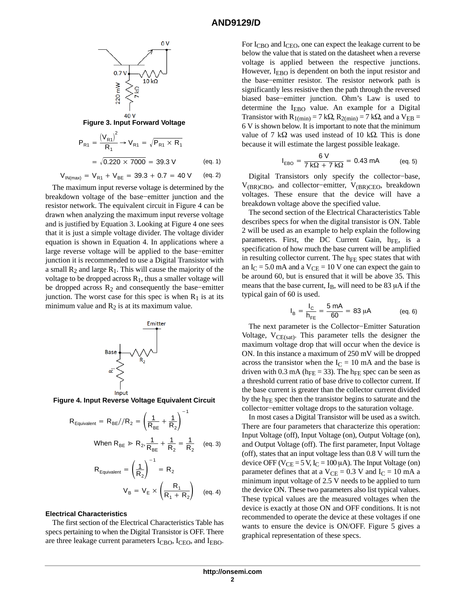<span id="page-1-0"></span>

**Figure 3. Input Forward Voltage**

$$
P_{R1} = \frac{(V_{R1})^2}{R_1} \rightarrow V_{R1} = \sqrt{P_{R1} \times R_1}
$$
  
=  $\sqrt{0.220 \times 7000} = 39.3 \text{ V}$  (eq. 1)

 $V_{IN(max)} = V_{R1} + V_{BE} = 39.3 + 0.7 = 40 V$  (eq. 2)

The maximum input reverse voltage is determined by the breakdown voltage of the base−emitter junction and the resistor network. The equivalent circuit in Figure 4 can be drawn when analyzing the maximum input reverse voltage and is justified by Equation 3. Looking at Figure 4 one sees that it is just a simple voltage divider. The voltage divider equation is shown in Equation 4. In applications where a large reverse voltage will be applied to the base−emitter junction it is recommended to use a Digital Transistor with a small  $R_2$  and large  $R_1$ . This will cause the majority of the voltage to be dropped across  $R_1$ , thus a smaller voltage will be dropped across R2 and consequently the base−emitter junction. The worst case for this spec is when  $R_1$  is at its minimum value and  $R_2$  is at its maximum value.



**Figure 4. Input Reverse Voltage Equivalent Circuit**

$$
R_{\text{Equivalent}} = R_{\text{BE}} / R_2 = \left(\frac{1}{R_{\text{BE}}} + \frac{1}{R_2}\right)^{-1}
$$
  
When  $R_{\text{BE}} \gg R_2$ ,  $\frac{1}{R_{\text{BE}}} + \frac{1}{R_2} = \frac{1}{R_2}$  (eq. 3)  
 $R_{\text{Equivalent}} = \left(\frac{1}{R_2}\right)^{-1} = R_2$   
 $V_B = V_E \times \left(\frac{R_1}{R_1 + R_2}\right)$  (eq. 4)

# **Electrical Characteristics**

The first section of the Electrical Characteristics Table has specs pertaining to when the Digital Transistor is OFF. There are three leakage current parameters  $I_{\text{CBO}}$ ,  $I_{\text{CEO}}$ , and  $I_{\text{EBO}}$ .

For  $I_{\text{CBO}}$  and  $I_{\text{CEO}}$ , one can expect the leakage current to be below the value that is stated on the datasheet when a reverse voltage is applied between the respective junctions. However, I<sub>EBO</sub> is dependent on both the input resistor and the base−emitter resistor. The resistor network path is significantly less resistive then the path through the reversed biased base−emitter junction. Ohm's Law is used to determine the IEBO value. An example for a Digital Transistor with  $R_{1(min)} = 7 k\Omega$ ,  $R_{2(min)} = 7 k\Omega$ , and a  $V_{EB} =$ 6 V is shown below. It is important to note that the minimum value of 7 k $\Omega$  was used instead of 10 k $\Omega$ . This is done because it will estimate the largest possible leakage.

$$
I_{EBO} = \frac{6 V}{7 k\Omega + 7 k\Omega} = 0.43 mA
$$
 (eq. 5)

Digital Transistors only specify the collector−base, V(BR)CBO, and collector−emitter, V(BR)CEO, breakdown voltages. These ensure that the device will have a breakdown voltage above the specified value.

The second section of the Electrical Characteristics Table describes specs for when the digital transistor is ON. Table 2 will be used as an example to help explain the following parameters. First, the DC Current Gain, h<sub>FE</sub>, is a specification of how much the base current will be amplified in resulting collector current. The  $h_{FE}$  spec states that with an  $I_C = 5.0$  mA and a  $V_{CE} = 10$  V one can expect the gain to be around 60, but is ensured that it will be above 35. This means that the base current,  $I_B$ , will need to be 83  $\mu$ A if the typical gain of 60 is used.

$$
I_B = \frac{I_C}{h_{FE}} = \frac{5 \text{ mA}}{60} = 83 \text{ }\mu\text{A} \qquad (eq. 6)
$$

The next parameter is the Collector−Emitter Saturation Voltage,  $V_{CE(sat)}$ . This parameter tells the designer the maximum voltage drop that will occur when the device is ON. In this instance a maximum of 250 mV will be dropped across the transistor when the  $I_C = 10$  mA and the base is driven with 0.3 mA ( $h_{FE}$  = 33). The  $h_{FE}$  spec can be seen as a threshold current ratio of base drive to collector current. If the base current is greater than the collector current divided by the h<sub>FE</sub> spec then the transistor begins to saturate and the collector−emitter voltage drops to the saturation voltage.

In most cases a Digital Transistor will be used as a switch. There are four parameters that characterize this operation: Input Voltage (off), Input Voltage (on), Output Voltage (on), and Output Voltage (off). The first parameter, Input Voltage (off), states that an input voltage less than 0.8 V will turn the device OFF ( $V_{CE} = 5 V$ ,  $I_C = 100 \mu A$ ). The Input Voltage (on) parameter defines that at a  $V_{CE} = 0.3$  V and  $I_C = 10$  mA a minimum input voltage of 2.5 V needs to be applied to turn the device ON. These two parameters also list typical values. These typical values are the measured voltages when the device is exactly at those ON and OFF conditions. It is not recommended to operate the device at these voltages if one wants to ensure the device is ON/OFF. Figure [5](#page-2-0) gives a graphical representation of these specs.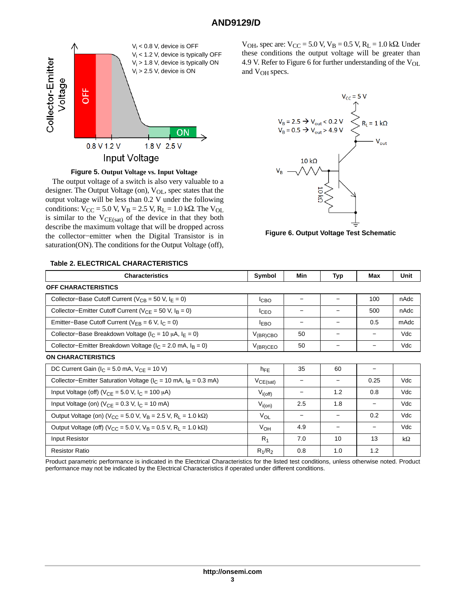# **AND9129/D**

<span id="page-2-0"></span>

**Figure 5. Output Voltage vs. Input Voltage**

The output voltage of a switch is also very valuable to a designer. The Output Voltage (on), V<sub>OL</sub>, spec states that the output voltage will be less than 0.2 V under the following conditions:  $V_{CC} = 5.0 V$ ,  $V_B = 2.5 V$ ,  $R_L = 1.0 k\Omega$ . The  $V_{OL}$ is similar to the  $V_{CE(sat)}$  of the device in that they both describe the maximum voltage that will be dropped across the collector−emitter when the Digital Transistor is in saturation(ON). The conditions for the Output Voltage (off),

 $V_{OH}$ , spec are:  $V_{CC} = 5.0 V, V_B = 0.5 V, R_L = 1.0 kΩ$ . Under these conditions the output voltage will be greater than 4.9 V. Refer to Figure 6 for further understanding of the V<sub>OL</sub> and V<sub>OH</sub> specs.



**Figure 6. Output Voltage Test Schematic**

| <b>Characteristics</b>                                                                          | Symbol           | Min | <b>Typ</b>               | Max                      | Unit      |
|-------------------------------------------------------------------------------------------------|------------------|-----|--------------------------|--------------------------|-----------|
| <b>OFF CHARACTERISTICS</b>                                                                      |                  |     |                          |                          |           |
| Collector-Base Cutoff Current ( $V_{CB}$ = 50 V, $I_E$ = 0)                                     | <sup>I</sup> CBO |     |                          | 100                      | nAdc      |
| Collector-Emitter Cutoff Current ( $V_{CE}$ = 50 V, $I_B$ = 0)                                  | <sup>I</sup> CEO | -   | $\overline{\phantom{0}}$ | 500                      | nAdc      |
| Emitter-Base Cutoff Current ( $V_{FB} = 6 V$ , $I_C = 0$ )                                      | <b>EBO</b>       | -   |                          | 0.5                      | mAdc      |
| Collector-Base Breakdown Voltage ( $I_C = 10 \mu A$ , $I_F = 0$ )                               | $V_{(BR)CBO}$    | 50  |                          |                          | Vdc       |
| Collector-Emitter Breakdown Voltage ( $I_C = 2.0$ mA, $I_B = 0$ )                               | $V_{(BR)CEO}$    | 50  | $\qquad \qquad$          | $\overline{\phantom{m}}$ | Vdc       |
| <b>ON CHARACTERISTICS</b>                                                                       |                  |     |                          |                          |           |
| DC Current Gain ( $I_C = 5.0$ mA, $V_{CE} = 10$ V)                                              | $h_{FE}$         | 35  | 60                       |                          |           |
| Collector-Emitter Saturation Voltage ( $I_C$ = 10 mA, $I_B$ = 0.3 mA)                           | $V_{CE(sat)}$    |     | $\overline{\phantom{0}}$ | 0.25                     | Vdc       |
| Input Voltage (off) ( $V_{CE} = 5.0$ V, $I_C = 100 \mu A$ )                                     | $V_{i(off)}$     |     | 1.2                      | 0.8                      | Vdc       |
| Input Voltage (on) ( $V_{CF}$ = 0.3 V, $I_C$ = 10 mA)                                           | $V_{i(0n)}$      | 2.5 | 1.8                      | $\overline{\phantom{a}}$ | Vdc       |
| Output Voltage (on) (V <sub>CC</sub> = 5.0 V, V <sub>B</sub> = 2.5 V, R <sub>L</sub> = 1.0 kΩ)  | VOL              |     |                          | 0.2                      | Vdc       |
| Output Voltage (off) (V <sub>CC</sub> = 5.0 V, V <sub>B</sub> = 0.5 V, R <sub>I</sub> = 1.0 kΩ) | V <sub>OH</sub>  | 4.9 |                          | $\overline{\phantom{m}}$ | Vdc       |
| Input Resistor                                                                                  | $R_1$            | 7.0 | 10                       | 13                       | $k\Omega$ |
| <b>Resistor Ratio</b>                                                                           | $R_1/R_2$        | 0.8 | 1.0                      | 1.2                      |           |

#### Product parametric performance is indicated in the Electrical Characteristics for the listed test conditions, unless otherwise noted. Product performance may not be indicated by the Electrical Characteristics if operated under different conditions.

# **Table 2. ELECTRICAL CHARACTERISTICS**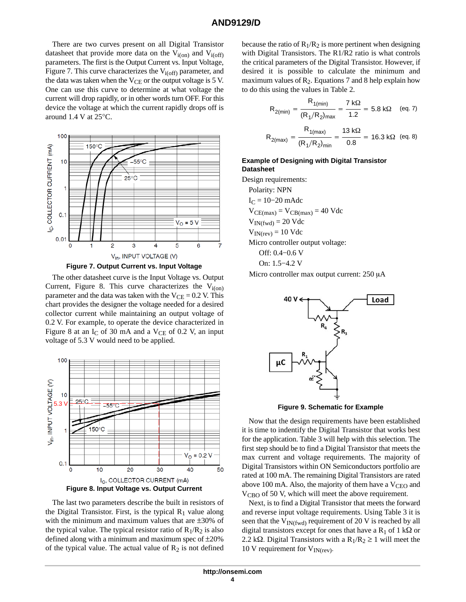# **AND9129/D**

There are two curves present on all Digital Transistor datasheet that provide more data on the  $V_{i(0)}$  and  $V_{i(off)}$ parameters. The first is the Output Current vs. Input Voltage, Figure 7. This curve characterizes the  $V_{i(\text{off})}$  parameter, and the data was taken when the  $V_{CE}$  or the output voltage is 5 V. One can use this curve to determine at what voltage the current will drop rapidly, or in other words turn OFF. For this device the voltage at which the current rapidly drops off is around 1.4 V at 25°C.



**Figure 7. Output Current vs. Input Voltage**

The other datasheet curve is the Input Voltage vs. Output Current, Figure 8. This curve characterizes the  $V_{i(0n)}$ parameter and the data was taken with the  $V_{CE} = 0.2$  V. This chart provides the designer the voltage needed for a desired collector current while maintaining an output voltage of 0.2 V. For example, to operate the device characterized in Figure 8 at an  $I_C$  of 30 mA and a  $V_{CE}$  of 0.2 V, an input voltage of 5.3 V would need to be applied.



The last two parameters describe the built in resistors of the Digital Transistor. First, is the typical  $R_1$  value along with the minimum and maximum values that are  $\pm 30\%$  of the typical value. The typical resistor ratio of  $R_1/R_2$  is also defined along with a minimum and maximum spec of  $\pm 20\%$ of the typical value. The actual value of  $R_2$  is not defined

because the ratio of  $R_1/R_2$  is more pertinent when designing with Digital Transistors. The R1/R2 ratio is what controls the critical parameters of the Digital Transistor. However, if desired it is possible to calculate the minimum and maximum values of  $R_2$ . Equations 7 and 8 help explain how to do this using the values in Table [2](#page-2-0).

$$
R_{2(min)} = \frac{R_{1(min)}}{(R_1/R_2)_{max}} = \frac{7 k\Omega}{1.2} = 5.8 k\Omega \quad \text{(eq. 7)}
$$

$$
R_{2(max)} = \frac{R_{1(max)}}{(R_1/R_2)_{min}} = \frac{13 k\Omega}{0.8} = 16.3 k\Omega \quad \text{(eq. 8)}
$$

# **Example of Designing with Digital Transistor Datasheet**

Design requirements:

Polarity: NPN  $I<sub>C</sub> = 10–20$  mAdc  $V_{CE(max)} = V_{CB(max)} = 40$  Vdc  $V_{IN(fwd)} = 20$  Vdc  $V_{IN(rev)} = 10$  Vdc Micro controller output voltage: Off: 0.4−0.6 V On: 1.5−4.2 V

Micro controller max output current:  $250 \mu A$ 



**Figure 9. Schematic for Example**

Now that the design requirements have been established it is time to indentify the Digital Transistor that works best for the application. Table [3](#page-4-0) will help with this selection. The first step should be to find a Digital Transistor that meets the max current and voltage requirements. The majority of Digital Transistors within ON Semiconductors portfolio are rated at 100 mA. The remaining Digital Transistors are rated above 100 mA. Also, the majority of them have a  $V_{\text{CEO}}$  and V<sub>CBO</sub> of 50 V, which will meet the above requirement.

Next, is to find a Digital Transistor that meets the forward and reverse input voltage requirements. Using Table [3](#page-4-0) it is seen that the  $V_{IN(fwd)}$  requirement of 20 V is reached by all digital transistors except for ones that have a  $R_1$  of 1 k $\Omega$  or 2.2 k $\Omega$ . Digital Transistors with a R<sub>1</sub>/R<sub>2</sub>  $\geq$  1 will meet the 10 V requirement for  $V_{IN(rev)}$ .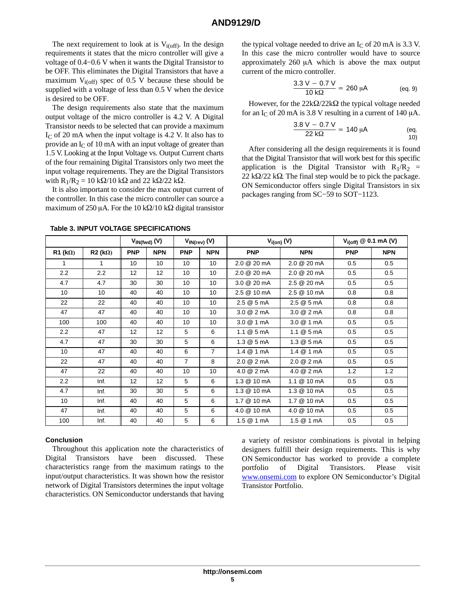<span id="page-4-0"></span>The next requirement to look at is  $V_{i(off)}$ . In the design requirements it states that the micro controller will give a voltage of 0.4−0.6 V when it wants the Digital Transistor to be OFF. This eliminates the Digital Transistors that have a maximum  $V_{i(off)}$  spec of 0.5 V because these should be supplied with a voltage of less than 0.5 V when the device is desired to be OFF.

The design requirements also state that the maximum output voltage of the micro controller is 4.2 V. A Digital Transistor needs to be selected that can provide a maximum  $I<sub>C</sub>$  of 20 mA when the input voltage is 4.2 V. It also has to provide an  $I_{\rm C}$  of 10 mA with an input voltage of greater than 1.5 V. Looking at the Input Voltage vs. Output Current charts of the four remaining Digital Transistors only two meet the input voltage requirements. They are the Digital Transistors with  $R_1/R_2 = 10 \text{ k}\Omega/10 \text{ k}\Omega$  and 22 k $\Omega/22 \text{ k}\Omega$ .

It is also important to consider the max output current of the controller. In this case the micro controller can source a maximum of 250 µA. For the 10 k $\Omega/10$  k $\Omega$  digital transistor

the typical voltage needed to drive an  $I_C$  of 20 mA is 3.3 V. In this case the micro controller would have to source approximately  $260 \mu A$  which is above the max output current of the micro controller.

$$
\frac{3.3 \text{ V} - 0.7 \text{ V}}{10 \text{ k}\Omega} = 260 \text{ }\mu\text{A} \qquad (eq. 9)
$$

However, for the  $22k\Omega/22k\Omega$  the typical voltage needed for an I<sub>C</sub> of 20 mA is 3.8 V resulting in a current of 140  $\mu$ A.

$$
\frac{3.8 \text{ V} - 0.7 \text{ V}}{22 \text{ k}\Omega} = 140 \text{ }\mu\text{A} \tag{eq.10}
$$

After considering all the design requirements it is found that the Digital Transistor that will work best for this specific application is the Digital Transistor with  $R_1/R_2$  = 22 k $\Omega$ /22 k $\Omega$ . The final step would be to pick the package. ON Semiconductor offers single Digital Transistors in six packages ranging from SC−59 to SOT−1123.

|                    |                | $V_{IN(fwd)}(V)$ |            |                | $V_{IN(rev)}(V)$ | $V_{i(on)}(V)$           |                          | $V_{i(off)}$ @ 0.1 mA (V) |            |
|--------------------|----------------|------------------|------------|----------------|------------------|--------------------------|--------------------------|---------------------------|------------|
| $R1$ (k $\Omega$ ) | $R2 (k\Omega)$ | <b>PNP</b>       | <b>NPN</b> | <b>PNP</b>     | <b>NPN</b>       | <b>PNP</b>               | <b>NPN</b>               | <b>PNP</b>                | <b>NPN</b> |
| 1                  | 1.             | 10               | 10         | 10             | 10               | 2.0 @ 20 mA              | 2.0 @ 20 mA              | 0.5                       | 0.5        |
| 2.2                | 2.2            | 12               | 12         | 10             | 10               | 2.0 @ 20 mA              | 2.0 @ 20 mA              | 0.5                       | 0.5        |
| 4.7                | 4.7            | 30               | 30         | 10             | 10               | 3.0 @ 20 mA              | 2.5 @ 20 mA              | 0.5                       | 0.5        |
| 10                 | 10             | 40               | 40         | 10             | 10               | 2.5 @ 10 mA              | 2.5 @ 10 mA              | 0.8                       | 0.8        |
| 22                 | 22             | 40               | 40         | 10             | 10               | 2.5 @ 5 mA               | 2.5 @ 5 mA               | 0.8                       | 0.8        |
| 47                 | 47             | 40               | 40         | 10             | 10               | 3.0 @ 2 mA               | 3.0 @ 2 mA               | 0.8                       | 0.8        |
| 100                | 100            | 40               | 40         | 10             | 10               | 3.0 @ 1 mA               | $3.0 \& 1 \text{ mA}$    | 0.5                       | 0.5        |
| 2.2                | 47             | 12               | 12         | 5              | 6                | $1.1 \& 5 \text{ mA}$    | $1.1 \& 5 \text{ mA}$    | 0.5                       | 0.5        |
| 4.7                | 47             | 30               | 30         | 5              | 6                | $1.3 \ @ \ 5 \ mA$       | 1.3 @ 5 mA               | 0.5                       | 0.5        |
| 10 <sup>1</sup>    | 47             | 40               | 40         | 6              | $\overline{7}$   | 1.4 @ 1 mA               | $1.4 \ @ 1 mA$           | 0.5                       | 0.5        |
| 22                 | 47             | 40               | 40         | $\overline{7}$ | 8                | $2.0 \ @ \ 2 \text{ mA}$ | 2.0 @ 2 mA               | 0.5                       | 0.5        |
| 47                 | 22             | 40               | 40         | 10             | 10               | $4.0 \ @ \ 2 \text{ mA}$ | $4.0 \ @ \ 2 \text{ mA}$ | 1.2                       | 1.2        |
| 2.2                | Inf.           | 12               | 12         | 5              | 6                | 1.3 @ 10 mA              | $1.1 \& 10 \text{ mA}$   | 0.5                       | 0.5        |
| 4.7                | Inf.           | 30               | 30         | 5              | 6                | 1.3 @ 10 mA              | 1.3 @ 10 mA              | 0.5                       | 0.5        |
| 10                 | Inf.           | 40               | 40         | 5              | 6                | 1.7 @ 10 mA              | 1.7 @ 10 mA              | 0.5                       | 0.5        |
| 47                 | Inf.           | 40               | 40         | 5              | 6                | 4.0 @ 10 mA              | 4.0 @ 10 mA              | 0.5                       | 0.5        |
| 100                | Inf.           | 40               | 40         | 5              | 6                | 1.5 @ 1 mA               | 1.5 @ 1 mA               | 0.5                       | 0.5        |

**Table 3. INPUT VOLTAGE SPECIFICATIONS**

# **Conclusion**

Throughout this application note the characteristics of Digital Transistors have been discussed. These characteristics range from the maximum ratings to the input/output characteristics. It was shown how the resistor network of Digital Transistors determines the input voltage characteristics. ON Semiconductor understands that having a variety of resistor combinations is pivotal in helping designers fulfill their design requirements. This is why ON Semiconductor has worked to provide a complete portfolio of Digital Transistors. Please visit [www.onsemi.com](http://www.onsemi.com/) to explore ON Semiconductor's Digital Transistor Portfolio.